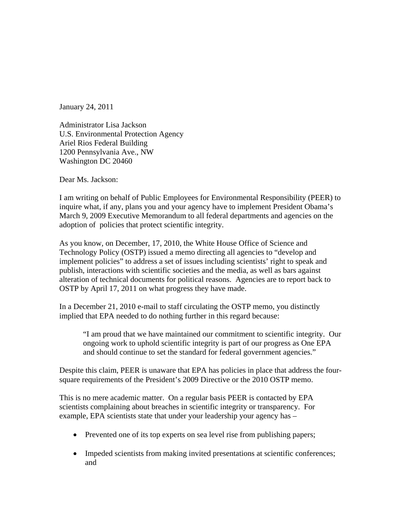January 24, 2011

Administrator Lisa Jackson U.S. Environmental Protection Agency Ariel Rios Federal Building 1200 Pennsylvania Ave., NW Washington DC 20460

Dear Ms. Jackson:

I am writing on behalf of Public Employees for Environmental Responsibility (PEER) to inquire what, if any, plans you and your agency have to implement President Obama's March 9, 2009 Executive Memorandum to all federal departments and agencies on the adoption of policies that protect scientific integrity.

As you know, on December, 17, 2010, the White House Office of Science and Technology Policy (OSTP) issued a memo directing all agencies to "develop and implement policies" to address a set of issues including scientists' right to speak and publish, interactions with scientific societies and the media, as well as bars against alteration of technical documents for political reasons. Agencies are to report back to OSTP by April 17, 2011 on what progress they have made.

In a December 21, 2010 e-mail to staff circulating the OSTP memo, you distinctly implied that EPA needed to do nothing further in this regard because:

"I am proud that we have maintained our commitment to scientific integrity. Our ongoing work to uphold scientific integrity is part of our progress as One EPA and should continue to set the standard for federal government agencies."

Despite this claim, PEER is unaware that EPA has policies in place that address the foursquare requirements of the President's 2009 Directive or the 2010 OSTP memo.

This is no mere academic matter. On a regular basis PEER is contacted by EPA scientists complaining about breaches in scientific integrity or transparency. For example, EPA scientists state that under your leadership your agency has –

- Prevented one of its top experts on sea level rise from publishing papers;
- Impeded scientists from making invited presentations at scientific conferences; and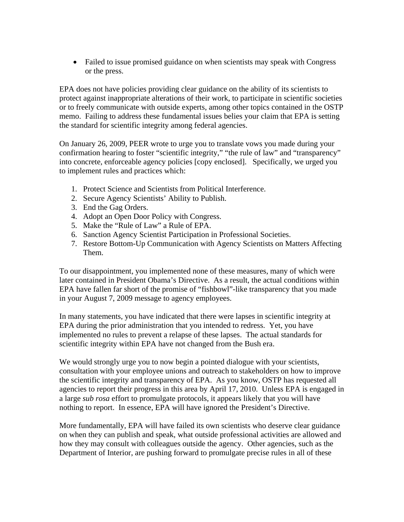• Failed to issue promised guidance on when scientists may speak with Congress or the press.

EPA does not have policies providing clear guidance on the ability of its scientists to protect against inappropriate alterations of their work, to participate in scientific societies or to freely communicate with outside experts, among other topics contained in the OSTP memo. Failing to address these fundamental issues belies your claim that EPA is setting the standard for scientific integrity among federal agencies.

On January 26, 2009, PEER wrote to urge you to translate vows you made during your confirmation hearing to foster "scientific integrity," "the rule of law" and "transparency" into concrete, enforceable agency policies [copy enclosed]. Specifically, we urged you to implement rules and practices which:

- 1. Protect Science and Scientists from Political Interference.
- 2. Secure Agency Scientists' Ability to Publish.
- 3. End the Gag Orders.
- 4. Adopt an Open Door Policy with Congress.
- 5. Make the "Rule of Law" a Rule of EPA.
- 6. Sanction Agency Scientist Participation in Professional Societies.
- 7. Restore Bottom-Up Communication with Agency Scientists on Matters Affecting Them.

To our disappointment, you implemented none of these measures, many of which were later contained in President Obama's Directive. As a result, the actual conditions within EPA have fallen far short of the promise of "fishbowl"-like transparency that you made in your August 7, 2009 message to agency employees.

In many statements, you have indicated that there were lapses in scientific integrity at EPA during the prior administration that you intended to redress. Yet, you have implemented no rules to prevent a relapse of these lapses. The actual standards for scientific integrity within EPA have not changed from the Bush era.

We would strongly urge you to now begin a pointed dialogue with your scientists, consultation with your employee unions and outreach to stakeholders on how to improve the scientific integrity and transparency of EPA. As you know, OSTP has requested all agencies to report their progress in this area by April 17, 2010. Unless EPA is engaged in a large *sub rosa* effort to promulgate protocols, it appears likely that you will have nothing to report. In essence, EPA will have ignored the President's Directive.

More fundamentally, EPA will have failed its own scientists who deserve clear guidance on when they can publish and speak, what outside professional activities are allowed and how they may consult with colleagues outside the agency. Other agencies, such as the Department of Interior, are pushing forward to promulgate precise rules in all of these